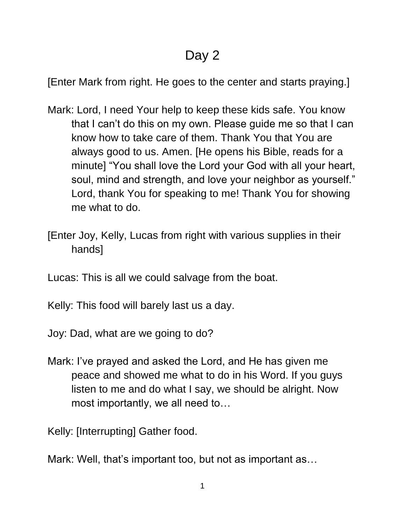## Day 2

[Enter Mark from right. He goes to the center and starts praying.]

- Mark: Lord, I need Your help to keep these kids safe. You know that I can't do this on my own. Please guide me so that I can know how to take care of them. Thank You that You are always good to us. Amen. [He opens his Bible, reads for a minute] "You shall love the Lord your God with all your heart, soul, mind and strength, and love your neighbor as yourself." Lord, thank You for speaking to me! Thank You for showing me what to do.
- [Enter Joy, Kelly, Lucas from right with various supplies in their hands]
- Lucas: This is all we could salvage from the boat.
- Kelly: This food will barely last us a day.
- Joy: Dad, what are we going to do?
- Mark: I've prayed and asked the Lord, and He has given me peace and showed me what to do in his Word. If you guys listen to me and do what I say, we should be alright. Now most importantly, we all need to…

Kelly: [Interrupting] Gather food.

Mark: Well, that's important too, but not as important as…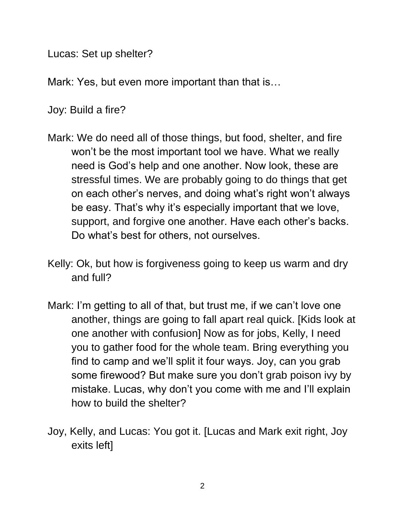Lucas: Set up shelter?

Mark: Yes, but even more important than that is…

Joy: Build a fire?

- Mark: We do need all of those things, but food, shelter, and fire won't be the most important tool we have. What we really need is God's help and one another. Now look, these are stressful times. We are probably going to do things that get on each other's nerves, and doing what's right won't always be easy. That's why it's especially important that we love, support, and forgive one another. Have each other's backs. Do what's best for others, not ourselves.
- Kelly: Ok, but how is forgiveness going to keep us warm and dry and full?
- Mark: I'm getting to all of that, but trust me, if we can't love one another, things are going to fall apart real quick. [Kids look at one another with confusion] Now as for jobs, Kelly, I need you to gather food for the whole team. Bring everything you find to camp and we'll split it four ways. Joy, can you grab some firewood? But make sure you don't grab poison ivy by mistake. Lucas, why don't you come with me and I'll explain how to build the shelter?
- Joy, Kelly, and Lucas: You got it. [Lucas and Mark exit right, Joy exits left]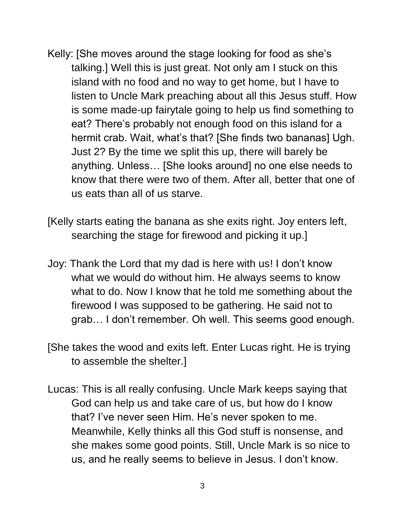- Kelly: [She moves around the stage looking for food as she's talking.] Well this is just great. Not only am I stuck on this island with no food and no way to get home, but I have to listen to Uncle Mark preaching about all this Jesus stuff. How is some made-up fairytale going to help us find something to eat? There's probably not enough food on this island for a hermit crab. Wait, what's that? [She finds two bananas] Ugh. Just 2? By the time we split this up, there will barely be anything. Unless… [She looks around] no one else needs to know that there were two of them. After all, better that one of us eats than all of us starve.
- [Kelly starts eating the banana as she exits right. Joy enters left, searching the stage for firewood and picking it up.]
- Joy: Thank the Lord that my dad is here with us! I don't know what we would do without him. He always seems to know what to do. Now I know that he told me something about the firewood I was supposed to be gathering. He said not to grab… I don't remember. Oh well. This seems good enough.
- [She takes the wood and exits left. Enter Lucas right. He is trying to assemble the shelter.]
- Lucas: This is all really confusing. Uncle Mark keeps saying that God can help us and take care of us, but how do I know that? I've never seen Him. He's never spoken to me. Meanwhile, Kelly thinks all this God stuff is nonsense, and she makes some good points. Still, Uncle Mark is so nice to us, and he really seems to believe in Jesus. I don't know.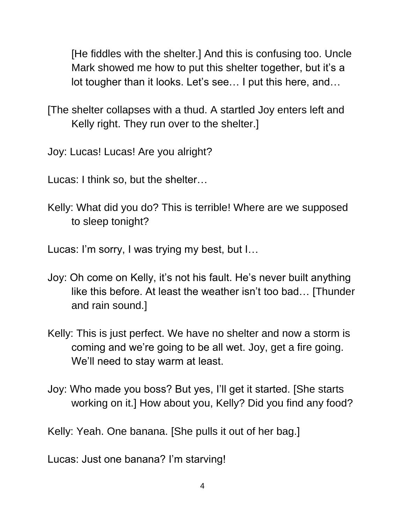[He fiddles with the shelter.] And this is confusing too. Uncle Mark showed me how to put this shelter together, but it's a lot tougher than it looks. Let's see… I put this here, and…

[The shelter collapses with a thud. A startled Joy enters left and Kelly right. They run over to the shelter.]

Joy: Lucas! Lucas! Are you alright?

Lucas: I think so, but the shelter…

Kelly: What did you do? This is terrible! Where are we supposed to sleep tonight?

Lucas: I'm sorry, I was trying my best, but I…

- Joy: Oh come on Kelly, it's not his fault. He's never built anything like this before. At least the weather isn't too bad… [Thunder and rain sound.]
- Kelly: This is just perfect. We have no shelter and now a storm is coming and we're going to be all wet. Joy, get a fire going. We'll need to stay warm at least.
- Joy: Who made you boss? But yes, I'll get it started. [She starts working on it.] How about you, Kelly? Did you find any food?

Kelly: Yeah. One banana. [She pulls it out of her bag.]

Lucas: Just one banana? I'm starving!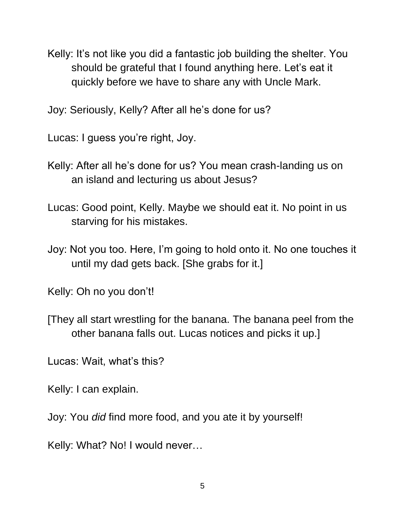Kelly: It's not like you did a fantastic job building the shelter. You should be grateful that I found anything here. Let's eat it quickly before we have to share any with Uncle Mark.

Joy: Seriously, Kelly? After all he's done for us?

Lucas: I guess you're right, Joy.

- Kelly: After all he's done for us? You mean crash-landing us on an island and lecturing us about Jesus?
- Lucas: Good point, Kelly. Maybe we should eat it. No point in us starving for his mistakes.
- Joy: Not you too. Here, I'm going to hold onto it. No one touches it until my dad gets back. [She grabs for it.]

Kelly: Oh no you don't!

[They all start wrestling for the banana. The banana peel from the other banana falls out. Lucas notices and picks it up.]

Lucas: Wait, what's this?

Kelly: I can explain.

Joy: You *did* find more food, and you ate it by yourself!

Kelly: What? No! I would never…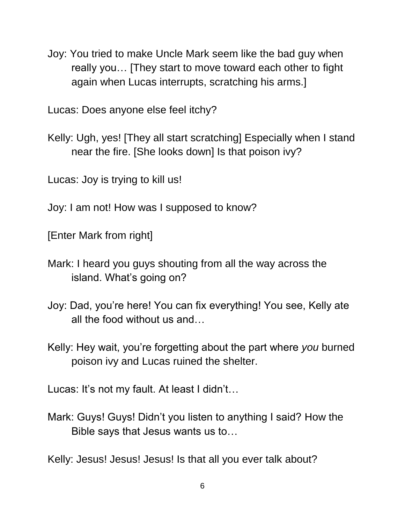Joy: You tried to make Uncle Mark seem like the bad guy when really you… [They start to move toward each other to fight again when Lucas interrupts, scratching his arms.]

Lucas: Does anyone else feel itchy?

Kelly: Ugh, yes! [They all start scratching] Especially when I stand near the fire. [She looks down] Is that poison ivy?

Lucas: Joy is trying to kill us!

Joy: I am not! How was I supposed to know?

[Enter Mark from right]

- Mark: I heard you guys shouting from all the way across the island. What's going on?
- Joy: Dad, you're here! You can fix everything! You see, Kelly ate all the food without us and…
- Kelly: Hey wait, you're forgetting about the part where *you* burned poison ivy and Lucas ruined the shelter.

Lucas: It's not my fault. At least I didn't…

Mark: Guys! Guys! Didn't you listen to anything I said? How the Bible says that Jesus wants us to…

Kelly: Jesus! Jesus! Jesus! Is that all you ever talk about?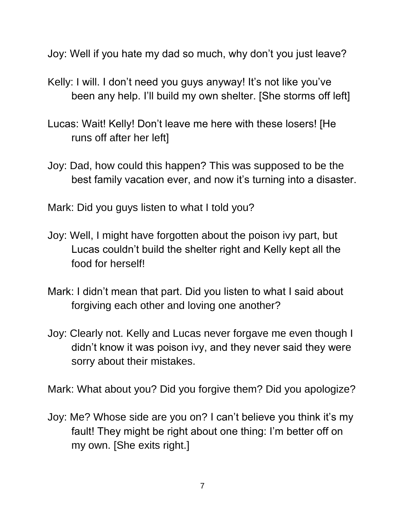Joy: Well if you hate my dad so much, why don't you just leave?

- Kelly: I will. I don't need you guys anyway! It's not like you've been any help. I'll build my own shelter. [She storms off left]
- Lucas: Wait! Kelly! Don't leave me here with these losers! [He runs off after her left]
- Joy: Dad, how could this happen? This was supposed to be the best family vacation ever, and now it's turning into a disaster.

Mark: Did you guys listen to what I told you?

- Joy: Well, I might have forgotten about the poison ivy part, but Lucas couldn't build the shelter right and Kelly kept all the food for herself!
- Mark: I didn't mean that part. Did you listen to what I said about forgiving each other and loving one another?
- Joy: Clearly not. Kelly and Lucas never forgave me even though I didn't know it was poison ivy, and they never said they were sorry about their mistakes.

Mark: What about you? Did you forgive them? Did you apologize?

Joy: Me? Whose side are you on? I can't believe you think it's my fault! They might be right about one thing: I'm better off on my own. [She exits right.]